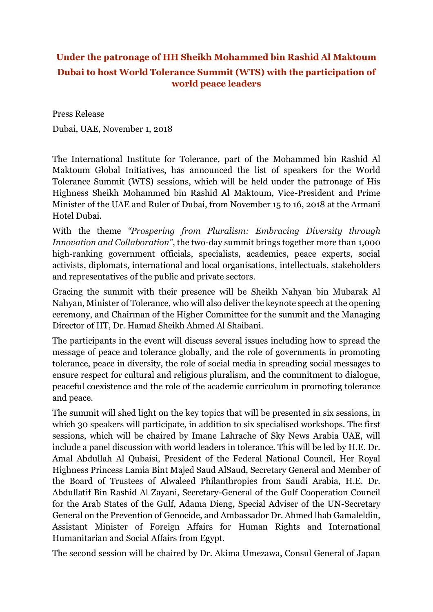## **Under the patronage of HH Sheikh Mohammed bin Rashid Al Maktoum Dubai to host World Tolerance Summit (WTS) with the participation of world peace leaders**

Press Release Dubai, UAE, November 1, 2018

The International Institute for Tolerance, part of the Mohammed bin Rashid Al Maktoum Global Initiatives, has announced the list of speakers for the World Tolerance Summit (WTS) sessions, which will be held under the patronage of His Highness Sheikh Mohammed bin Rashid Al Maktoum, Vice-President and Prime Minister of the UAE and Ruler of Dubai, from November 15 to 16, 2018 at the Armani Hotel Dubai.

With the theme *"Prospering from Pluralism: Embracing Diversity through Innovation and Collaboration"*, the two-day summit brings together more than 1,000 high-ranking government officials, specialists, academics, peace experts, social activists, diplomats, international and local organisations, intellectuals, stakeholders and representatives of the public and private sectors.

Gracing the summit with their presence will be Sheikh Nahyan bin Mubarak Al Nahyan, Minister of Tolerance, who will also deliver the keynote speech at the opening ceremony, and Chairman of the Higher Committee for the summit and the Managing Director of IIT, Dr. Hamad Sheikh Ahmed Al Shaibani.

The participants in the event will discuss several issues including how to spread the message of peace and tolerance globally, and the role of governments in promoting tolerance, peace in diversity, the role of social media in spreading social messages to ensure respect for cultural and religious pluralism, and the commitment to dialogue, peaceful coexistence and the role of the academic curriculum in promoting tolerance and peace.

The summit will shed light on the key topics that will be presented in six sessions, in which 30 speakers will participate, in addition to six specialised workshops. The first sessions, which will be chaired by Imane Lahrache of Sky News Arabia UAE, will include a panel discussion with world leaders in tolerance. This will be led by H.E. Dr. Amal Abdullah Al Qubaisi, President of the Federal National Council, Her Royal Highness Princess Lamia Bint Majed Saud AlSaud, Secretary General and Member of the Board of Trustees of Alwaleed Philanthropies from Saudi Arabia, H.E. Dr. Abdullatif Bin Rashid Al Zayani, Secretary-General of the Gulf Cooperation Council for the Arab States of the Gulf, Adama Dieng, Special Adviser of the UN-Secretary General on the Prevention of Genocide, and Ambassador Dr. Ahmed lhab Gamaleldin, Assistant Minister of Foreign Affairs for Human Rights and International Humanitarian and Social Affairs from Egypt.

The second session will be chaired by Dr. Akima Umezawa, Consul General of Japan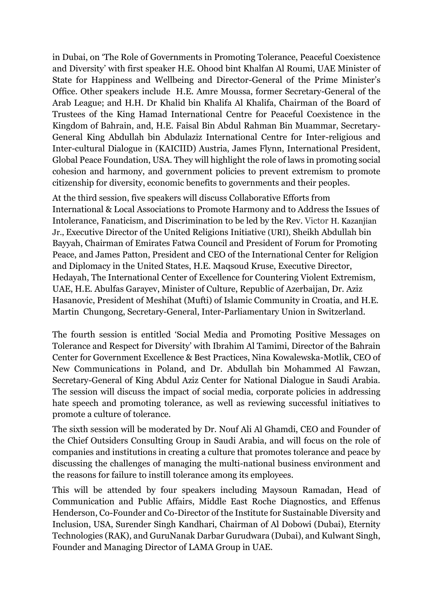in Dubai, on 'The Role of Governments in Promoting Tolerance, Peaceful Coexistence and Diversity' with first speaker H.E. Ohood bint Khalfan Al Roumi, UAE Minister of State for Happiness and Wellbeing and Director-General of the Prime Minister's Office. Other speakers include H.E. Amre Moussa, former Secretary-General of the Arab League; and H.H. Dr Khalid bin Khalifa Al Khalifa, Chairman of the Board of Trustees of the King Hamad International Centre for Peaceful Coexistence in the Kingdom of Bahrain, and, H.E. Faisal Bin Abdul Rahman Bin Muammar, Secretary-General King Abdullah bin Abdulaziz International Centre for Inter-religious and Inter-cultural Dialogue in (KAICIID) Austria, James Flynn, International President, Global Peace Foundation, USA. They will highlight the role of laws in promoting social cohesion and harmony, and government policies to prevent extremism to promote citizenship for diversity, economic benefits to governments and their peoples.

At the third session, five speakers will discuss Collaborative Efforts from International & Local Associations to Promote Harmony and to Address the Issues of Intolerance, Fanaticism, and Discrimination to be led by the Rev. Victor H. Kazanjian Jr., Executive Director of the United Religions Initiative (URI), Sheikh Abdullah bin Bayyah, Chairman of Emirates Fatwa Council and President of Forum for Promoting Peace, and James Patton, President and CEO of the International Center for Religion and Diplomacy in the United States, H.E. Maqsoud Kruse, Executive Director, Hedayah, The International Center of Excellence for Countering Violent Extremism, UAE, H.E. Abulfas Garayev, Minister of Culture, Republic of Azerbaijan, Dr. Aziz Hasanovic, President of Meshihat (Mufti) of Islamic Community in Croatia, and H.E. Martin Chungong, Secretary-General, Inter-Parliamentary Union in Switzerland.

The fourth session is entitled 'Social Media and Promoting Positive Messages on Tolerance and Respect for Diversity' with Ibrahim Al Tamimi, Director of the Bahrain Center for Government Excellence & Best Practices, Nina Kowalewska-Motlik, CEO of New Communications in Poland, and Dr. Abdullah bin Mohammed Al Fawzan, Secretary-General of King Abdul Aziz Center for National Dialogue in Saudi Arabia. The session will discuss the impact of social media, corporate policies in addressing hate speech and promoting tolerance, as well as reviewing successful initiatives to promote a culture of tolerance.

The sixth session will be moderated by Dr. Nouf Ali Al Ghamdi, CEO and Founder of the Chief Outsiders Consulting Group in Saudi Arabia, and will focus on the role of companies and institutions in creating a culture that promotes tolerance and peace by discussing the challenges of managing the multi-national business environment and the reasons for failure to instill tolerance among its employees.

This will be attended by four speakers including Maysoun Ramadan, Head of Communication and Public Affairs, Middle East Roche Diagnostics, and Effenus Henderson, Co-Founder and Co-Director of the Institute for Sustainable Diversity and Inclusion, USA, Surender Singh Kandhari, Chairman of Al Dobowi (Dubai), Eternity Technologies (RAK), and GuruNanak Darbar Gurudwara (Dubai), and Kulwant Singh, Founder and Managing Director of LAMA Group in UAE.